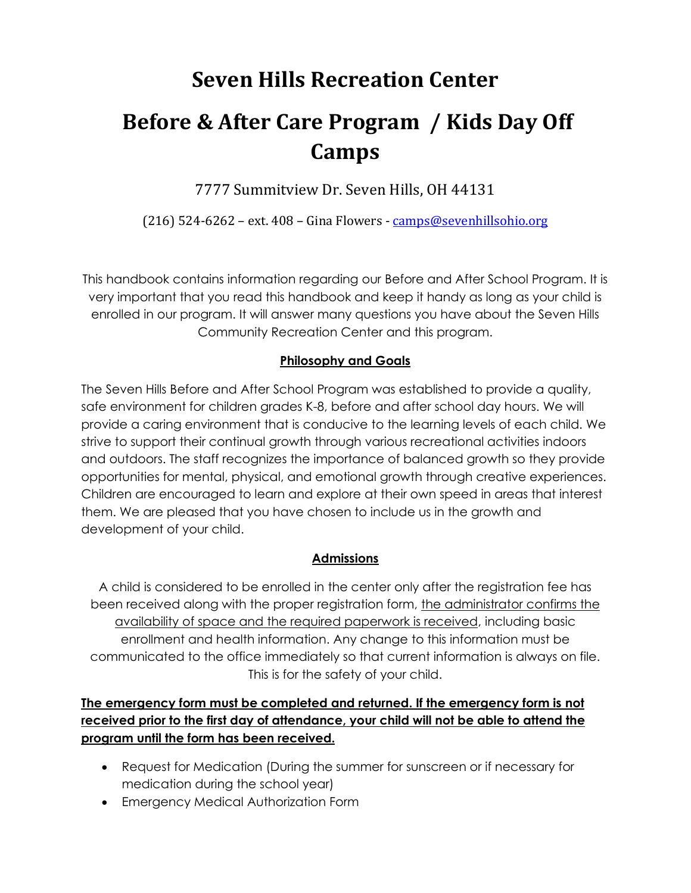# **Seven Hills Recreation Center**

# **Before & After Care Program / Kids Day Off Camps**

7777 Summitview Dr. Seven Hills, OH 44131

(216) 524-6262 – ext. 408 – Gina Flowers - [camps@sevenhillsohio.org](mailto:camps@sevenhillsohio.org)

This handbook contains information regarding our Before and After School Program. It is very important that you read this handbook and keep it handy as long as your child is enrolled in our program. It will answer many questions you have about the Seven Hills Community Recreation Center and this program.

# **Philosophy and Goals**

The Seven Hills Before and After School Program was established to provide a quality, safe environment for children grades K-8, before and after school day hours. We will provide a caring environment that is conducive to the learning levels of each child. We strive to support their continual growth through various recreational activities indoors and outdoors. The staff recognizes the importance of balanced growth so they provide opportunities for mental, physical, and emotional growth through creative experiences. Children are encouraged to learn and explore at their own speed in areas that interest them. We are pleased that you have chosen to include us in the growth and development of your child.

# **Admissions**

A child is considered to be enrolled in the center only after the registration fee has been received along with the proper registration form, the administrator confirms the availability of space and the required paperwork is received, including basic enrollment and health information. Any change to this information must be communicated to the office immediately so that current information is always on file. This is for the safety of your child.

# **The emergency form must be completed and returned. If the emergency form is not received prior to the first day of attendance, your child will not be able to attend the program until the form has been received.**

- Request for Medication (During the summer for sunscreen or if necessary for medication during the school year)
- Emergency Medical Authorization Form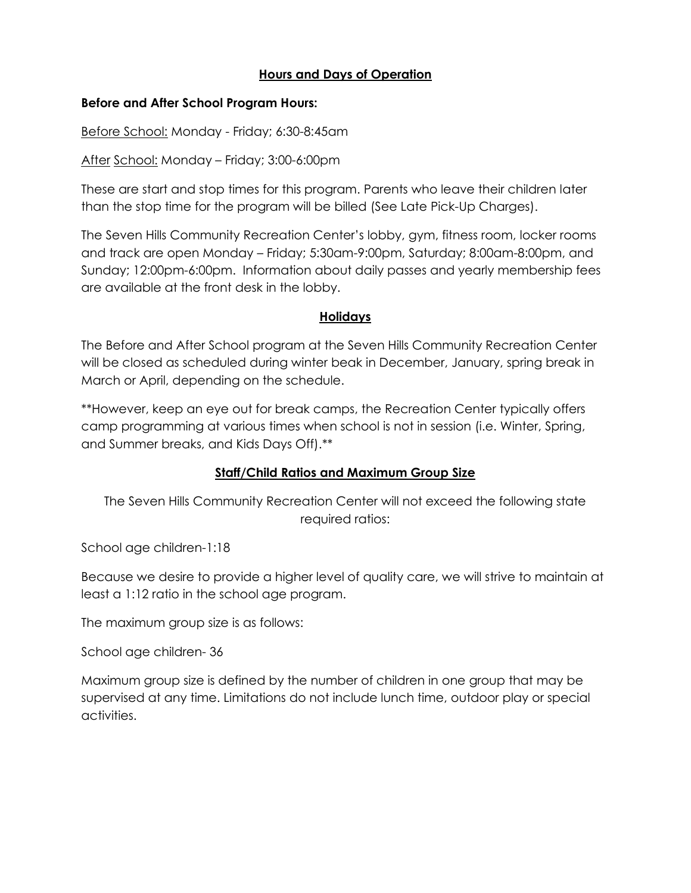## **Hours and Days of Operation**

#### **Before and After School Program Hours:**

Before School: Monday - Friday; 6:30-8:45am

After School: Monday – Friday; 3:00-6:00pm

These are start and stop times for this program. Parents who leave their children later than the stop time for the program will be billed (See Late Pick-Up Charges).

The Seven Hills Community Recreation Center's lobby, gym, fitness room, locker rooms and track are open Monday – Friday; 5:30am-9:00pm, Saturday; 8:00am-8:00pm, and Sunday; 12:00pm-6:00pm. Information about daily passes and yearly membership fees are available at the front desk in the lobby.

#### **Holidays**

The Before and After School program at the Seven Hills Community Recreation Center will be closed as scheduled during winter beak in December, January, spring break in March or April, depending on the schedule.

\*\*However, keep an eye out for break camps, the Recreation Center typically offers camp programming at various times when school is not in session (i.e. Winter, Spring, and Summer breaks, and Kids Days Off).\*\*

#### **Staff/Child Ratios and Maximum Group Size**

The Seven Hills Community Recreation Center will not exceed the following state required ratios:

School age children-1:18

Because we desire to provide a higher level of quality care, we will strive to maintain at least a 1:12 ratio in the school age program.

The maximum group size is as follows:

School age children- 36

Maximum group size is defined by the number of children in one group that may be supervised at any time. Limitations do not include lunch time, outdoor play or special activities.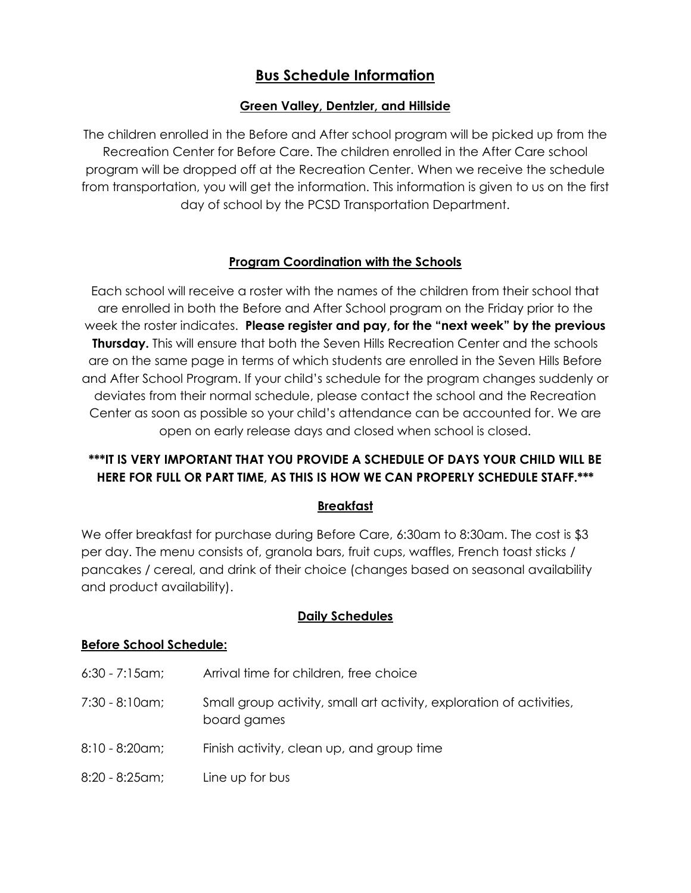# **Bus Schedule Information**

## **Green Valley, Dentzler, and Hillside**

The children enrolled in the Before and After school program will be picked up from the Recreation Center for Before Care. The children enrolled in the After Care school program will be dropped off at the Recreation Center. When we receive the schedule from transportation, you will get the information. This information is given to us on the first day of school by the PCSD Transportation Department.

## **Program Coordination with the Schools**

Each school will receive a roster with the names of the children from their school that are enrolled in both the Before and After School program on the Friday prior to the week the roster indicates. **Please register and pay, for the "next week" by the previous Thursday.** This will ensure that both the Seven Hills Recreation Center and the schools are on the same page in terms of which students are enrolled in the Seven Hills Before and After School Program. If your child's schedule for the program changes suddenly or deviates from their normal schedule, please contact the school and the Recreation Center as soon as possible so your child's attendance can be accounted for. We are open on early release days and closed when school is closed.

# **\*\*\*IT IS VERY IMPORTANT THAT YOU PROVIDE A SCHEDULE OF DAYS YOUR CHILD WILL BE HERE FOR FULL OR PART TIME, AS THIS IS HOW WE CAN PROPERLY SCHEDULE STAFF.\*\*\***

#### **Breakfast**

We offer breakfast for purchase during Before Care, 6:30am to 8:30am. The cost is \$3 per day. The menu consists of, granola bars, fruit cups, waffles, French toast sticks / pancakes / cereal, and drink of their choice (changes based on seasonal availability and product availability).

# **Daily Schedules**

#### **Before School Schedule:**

- 6:30 7:15am; Arrival time for children, free choice
- 7:30 8:10am; Small group activity, small art activity, exploration of activities, board games
- 8:10 8:20am; Finish activity, clean up, and group time
- 8:20 8:25am; Line up for bus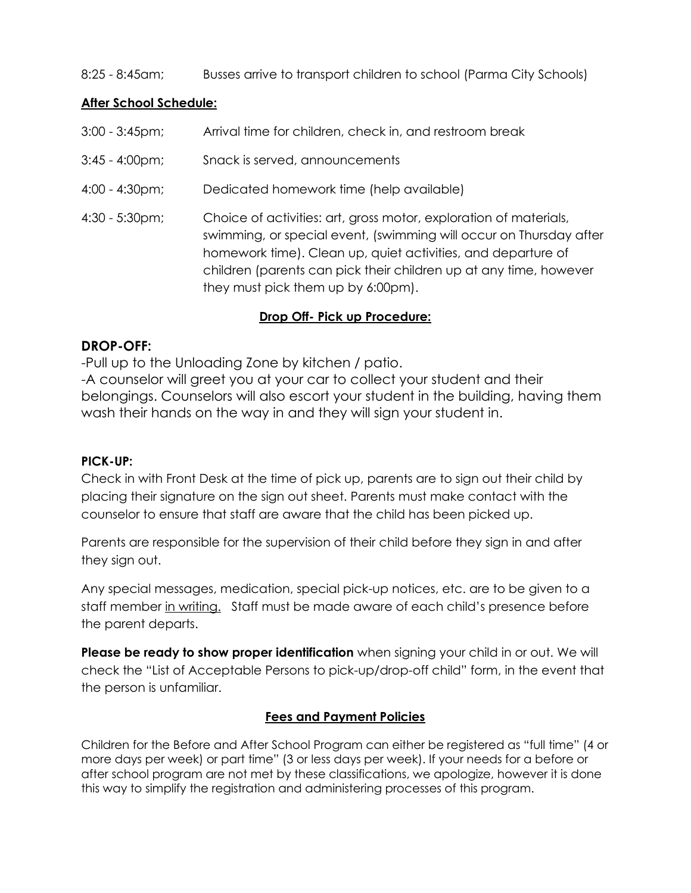## 8:25 - 8:45am; Busses arrive to transport children to school (Parma City Schools)

#### **After School Schedule:**

- 3:00 3:45pm; Arrival time for children, check in, and restroom break
- 3:45 4:00pm; Snack is served, announcements
- 4:00 4:30pm; Dedicated homework time (help available)
- 4:30 5:30pm; Choice of activities: art, gross motor, exploration of materials, swimming, or special event, (swimming will occur on Thursday after homework time). Clean up, quiet activities, and departure of children (parents can pick their children up at any time, however they must pick them up by 6:00pm).

#### **Drop Off- Pick up Procedure:**

# **DROP-OFF:**

-Pull up to the Unloading Zone by kitchen / patio.

-A counselor will greet you at your car to collect your student and their belongings. Counselors will also escort your student in the building, having them wash their hands on the way in and they will sign your student in.

#### **PICK-UP:**

Check in with Front Desk at the time of pick up, parents are to sign out their child by placing their signature on the sign out sheet. Parents must make contact with the counselor to ensure that staff are aware that the child has been picked up.

Parents are responsible for the supervision of their child before they sign in and after they sign out.

Any special messages, medication, special pick-up notices, etc. are to be given to a staff member in writing. Staff must be made aware of each child's presence before the parent departs.

**Please be ready to show proper identification** when signing your child in or out. We will check the "List of Acceptable Persons to pick-up/drop-off child" form, in the event that the person is unfamiliar.

#### **Fees and Payment Policies**

Children for the Before and After School Program can either be registered as "full time" (4 or more days per week) or part time" (3 or less days per week). If your needs for a before or after school program are not met by these classifications, we apologize, however it is done this way to simplify the registration and administering processes of this program.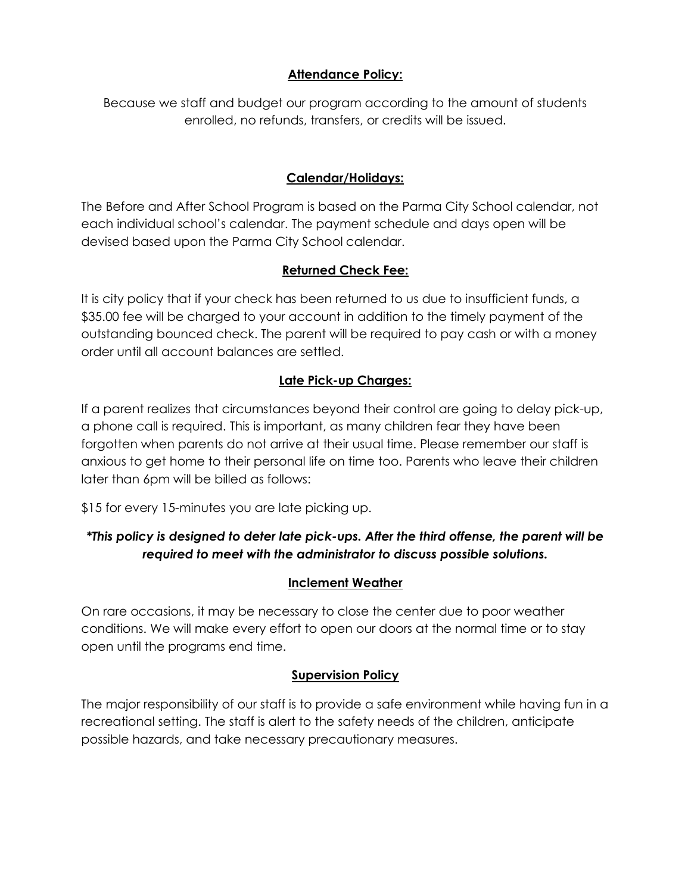## **Attendance Policy:**

Because we staff and budget our program according to the amount of students enrolled, no refunds, transfers, or credits will be issued.

## **Calendar/Holidays:**

The Before and After School Program is based on the Parma City School calendar, not each individual school's calendar. The payment schedule and days open will be devised based upon the Parma City School calendar.

## **Returned Check Fee:**

It is city policy that if your check has been returned to us due to insufficient funds, a \$35.00 fee will be charged to your account in addition to the timely payment of the outstanding bounced check. The parent will be required to pay cash or with a money order until all account balances are settled.

# **Late Pick-up Charges:**

If a parent realizes that circumstances beyond their control are going to delay pick-up, a phone call is required. This is important, as many children fear they have been forgotten when parents do not arrive at their usual time. Please remember our staff is anxious to get home to their personal life on time too. Parents who leave their children later than 6pm will be billed as follows:

\$15 for every 15-minutes you are late picking up.

# *\*This policy is designed to deter late pick-ups. After the third offense, the parent will be required to meet with the administrator to discuss possible solutions.*

#### **Inclement Weather**

On rare occasions, it may be necessary to close the center due to poor weather conditions. We will make every effort to open our doors at the normal time or to stay open until the programs end time.

#### **Supervision Policy**

The major responsibility of our staff is to provide a safe environment while having fun in a recreational setting. The staff is alert to the safety needs of the children, anticipate possible hazards, and take necessary precautionary measures.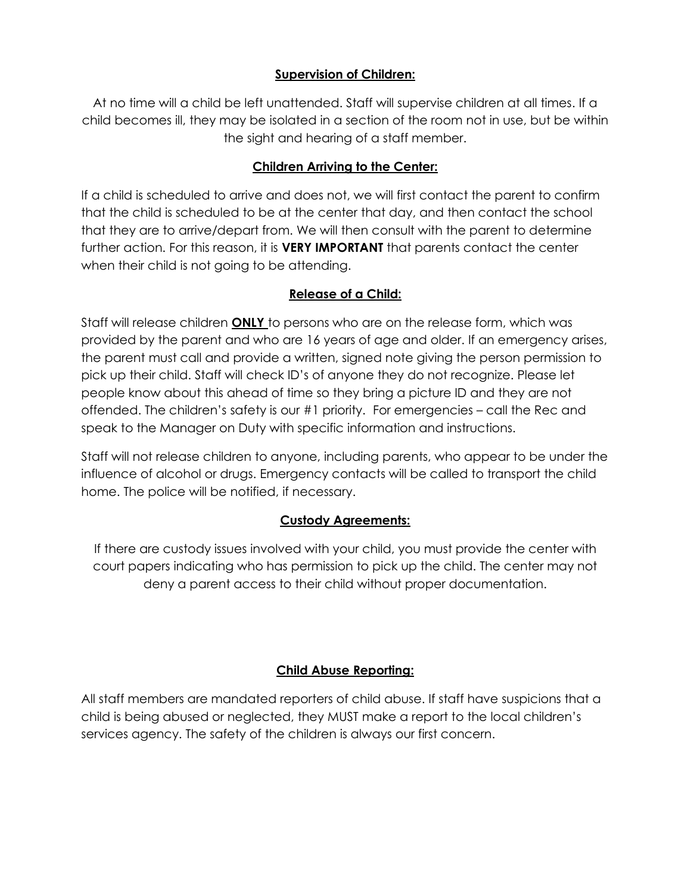## **Supervision of Children:**

At no time will a child be left unattended. Staff will supervise children at all times. If a child becomes ill, they may be isolated in a section of the room not in use, but be within the sight and hearing of a staff member.

## **Children Arriving to the Center:**

If a child is scheduled to arrive and does not, we will first contact the parent to confirm that the child is scheduled to be at the center that day, and then contact the school that they are to arrive/depart from. We will then consult with the parent to determine further action. For this reason, it is **VERY IMPORTANT** that parents contact the center when their child is not going to be attending.

#### **Release of a Child:**

Staff will release children **ONLY** to persons who are on the release form, which was provided by the parent and who are 16 years of age and older. If an emergency arises, the parent must call and provide a written, signed note giving the person permission to pick up their child. Staff will check ID's of anyone they do not recognize. Please let people know about this ahead of time so they bring a picture ID and they are not offended. The children's safety is our #1 priority. For emergencies – call the Rec and speak to the Manager on Duty with specific information and instructions.

Staff will not release children to anyone, including parents, who appear to be under the influence of alcohol or drugs. Emergency contacts will be called to transport the child home. The police will be notified, if necessary.

# **Custody Agreements:**

If there are custody issues involved with your child, you must provide the center with court papers indicating who has permission to pick up the child. The center may not deny a parent access to their child without proper documentation.

#### **Child Abuse Reporting:**

All staff members are mandated reporters of child abuse. If staff have suspicions that a child is being abused or neglected, they MUST make a report to the local children's services agency. The safety of the children is always our first concern.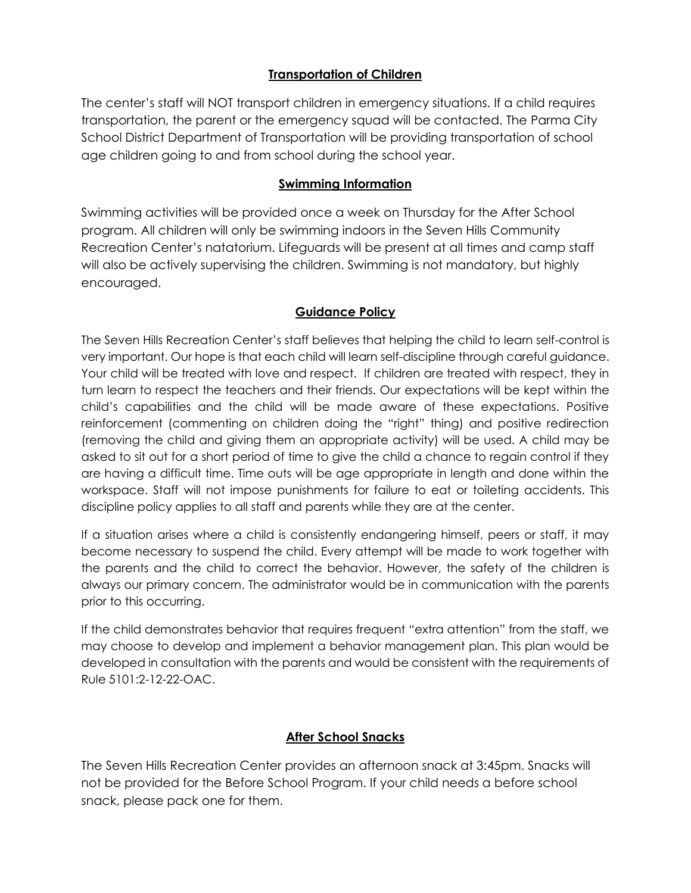#### **Transportation of Children**

The center's staff will NOT transport children in emergency situations. If a child requires transportation, the parent or the emergency squad will be contacted. The Parma City School District Department of Transportation will be providing transportation of school age children going to and from school during the school year.

#### **Swimming Information**

Swimming activities will be provided once a week on Thursday for the After School program. All children will only be swimming indoors in the Seven Hills Community Recreation Center's natatorium. Lifeguards will be present at all times and camp staff will also be actively supervising the children. Swimming is not mandatory, but highly encouraged.

## **Guidance Policy**

The Seven Hills Recreation Center's staff believes that helping the child to learn self-control is very important. Our hope is that each child will learn self-discipline through careful guidance. Your child will be treated with love and respect. If children are treated with respect, they in turn learn to respect the teachers and their friends. Our expectations will be kept within the child's capabilities and the child will be made aware of these expectations. Positive reinforcement (commenting on children doing the "right" thing) and positive redirection (removing the child and giving them an appropriate activity) will be used. A child may be asked to sit out for a short period of time to give the child a chance to regain control if they are having a difficult time. Time outs will be age appropriate in length and done within the workspace. Staff will not impose punishments for failure to eat or toileting accidents. This discipline policy applies to all staff and parents while they are at the center.

If a situation arises where a child is consistently endangering himself, peers or staff, it may become necessary to suspend the child. Every attempt will be made to work together with the parents and the child to correct the behavior. However, the safety of the children is always our primary concern. The administrator would be in communication with the parents prior to this occurring.

If the child demonstrates behavior that requires frequent "extra attention" from the staff, we may choose to develop and implement a behavior management plan. This plan would be developed in consultation with the parents and would be consistent with the requirements of Rule 5101:2-12-22-OAC.

# **After School Snacks**

The Seven Hills Recreation Center provides an afternoon snack at 3:45pm. Snacks will not be provided for the Before School Program. If your child needs a before school snack, please pack one for them.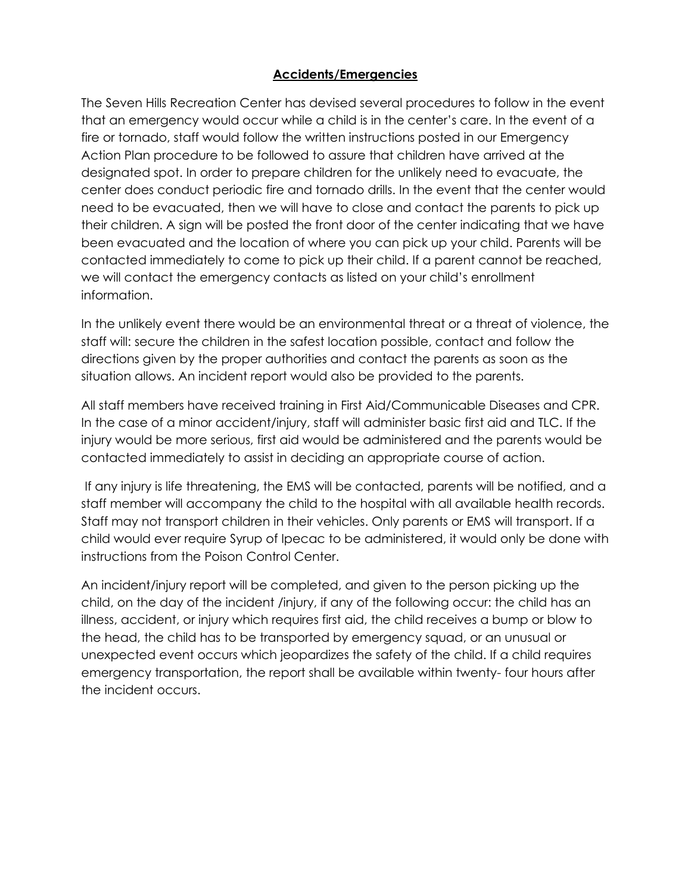#### **Accidents/Emergencies**

The Seven Hills Recreation Center has devised several procedures to follow in the event that an emergency would occur while a child is in the center's care. In the event of a fire or tornado, staff would follow the written instructions posted in our Emergency Action Plan procedure to be followed to assure that children have arrived at the designated spot. In order to prepare children for the unlikely need to evacuate, the center does conduct periodic fire and tornado drills. In the event that the center would need to be evacuated, then we will have to close and contact the parents to pick up their children. A sign will be posted the front door of the center indicating that we have been evacuated and the location of where you can pick up your child. Parents will be contacted immediately to come to pick up their child. If a parent cannot be reached, we will contact the emergency contacts as listed on your child's enrollment information.

In the unlikely event there would be an environmental threat or a threat of violence, the staff will: secure the children in the safest location possible, contact and follow the directions given by the proper authorities and contact the parents as soon as the situation allows. An incident report would also be provided to the parents.

All staff members have received training in First Aid/Communicable Diseases and CPR. In the case of a minor accident/injury, staff will administer basic first aid and TLC. If the injury would be more serious, first aid would be administered and the parents would be contacted immediately to assist in deciding an appropriate course of action.

If any injury is life threatening, the EMS will be contacted, parents will be notified, and a staff member will accompany the child to the hospital with all available health records. Staff may not transport children in their vehicles. Only parents or EMS will transport. If a child would ever require Syrup of Ipecac to be administered, it would only be done with instructions from the Poison Control Center.

An incident/injury report will be completed, and given to the person picking up the child, on the day of the incident /injury, if any of the following occur: the child has an illness, accident, or injury which requires first aid, the child receives a bump or blow to the head, the child has to be transported by emergency squad, or an unusual or unexpected event occurs which jeopardizes the safety of the child. If a child requires emergency transportation, the report shall be available within twenty- four hours after the incident occurs.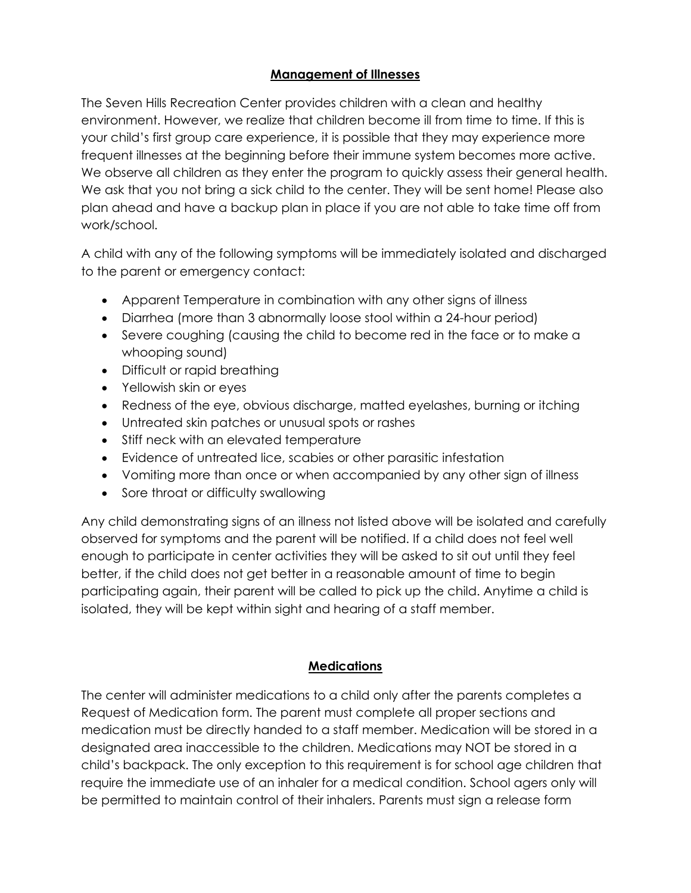## **Management of Illnesses**

The Seven Hills Recreation Center provides children with a clean and healthy environment. However, we realize that children become ill from time to time. If this is your child's first group care experience, it is possible that they may experience more frequent illnesses at the beginning before their immune system becomes more active. We observe all children as they enter the program to quickly assess their general health. We ask that you not bring a sick child to the center. They will be sent home! Please also plan ahead and have a backup plan in place if you are not able to take time off from work/school.

A child with any of the following symptoms will be immediately isolated and discharged to the parent or emergency contact:

- Apparent Temperature in combination with any other signs of illness
- Diarrhea (more than 3 abnormally loose stool within a 24-hour period)
- Severe coughing (causing the child to become red in the face or to make a whooping sound)
- Difficult or rapid breathing
- Yellowish skin or eyes
- Redness of the eye, obvious discharge, matted eyelashes, burning or itching
- Untreated skin patches or unusual spots or rashes
- Stiff neck with an elevated temperature
- Evidence of untreated lice, scabies or other parasitic infestation
- Vomiting more than once or when accompanied by any other sign of illness
- Sore throat or difficulty swallowing

Any child demonstrating signs of an illness not listed above will be isolated and carefully observed for symptoms and the parent will be notified. If a child does not feel well enough to participate in center activities they will be asked to sit out until they feel better, if the child does not get better in a reasonable amount of time to begin participating again, their parent will be called to pick up the child. Anytime a child is isolated, they will be kept within sight and hearing of a staff member.

# **Medications**

The center will administer medications to a child only after the parents completes a Request of Medication form. The parent must complete all proper sections and medication must be directly handed to a staff member. Medication will be stored in a designated area inaccessible to the children. Medications may NOT be stored in a child's backpack. The only exception to this requirement is for school age children that require the immediate use of an inhaler for a medical condition. School agers only will be permitted to maintain control of their inhalers. Parents must sign a release form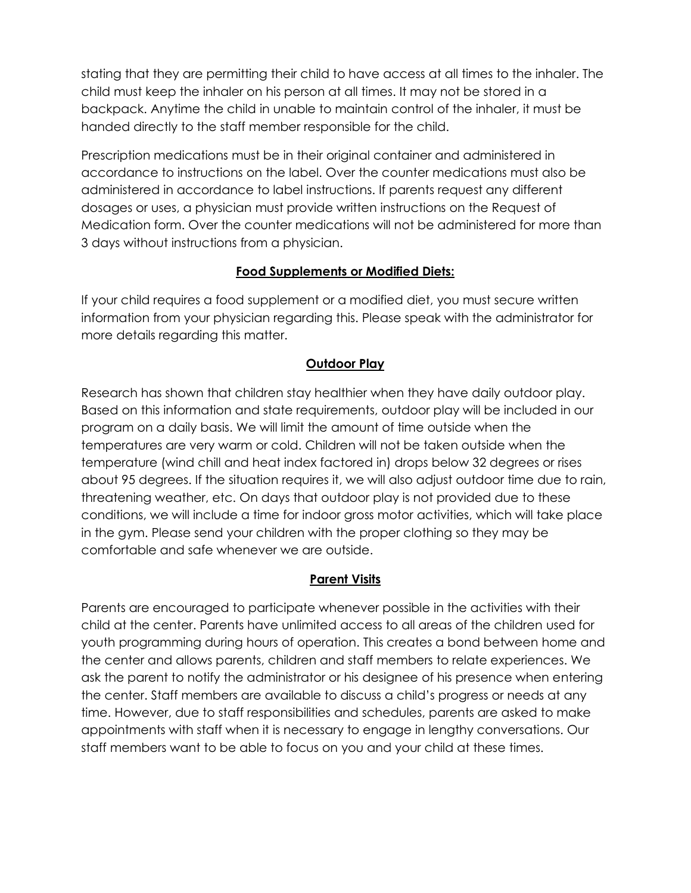stating that they are permitting their child to have access at all times to the inhaler. The child must keep the inhaler on his person at all times. It may not be stored in a backpack. Anytime the child in unable to maintain control of the inhaler, it must be handed directly to the staff member responsible for the child.

Prescription medications must be in their original container and administered in accordance to instructions on the label. Over the counter medications must also be administered in accordance to label instructions. If parents request any different dosages or uses, a physician must provide written instructions on the Request of Medication form. Over the counter medications will not be administered for more than 3 days without instructions from a physician.

## **Food Supplements or Modified Diets:**

If your child requires a food supplement or a modified diet, you must secure written information from your physician regarding this. Please speak with the administrator for more details regarding this matter.

## **Outdoor Play**

Research has shown that children stay healthier when they have daily outdoor play. Based on this information and state requirements, outdoor play will be included in our program on a daily basis. We will limit the amount of time outside when the temperatures are very warm or cold. Children will not be taken outside when the temperature (wind chill and heat index factored in) drops below 32 degrees or rises about 95 degrees. If the situation requires it, we will also adjust outdoor time due to rain, threatening weather, etc. On days that outdoor play is not provided due to these conditions, we will include a time for indoor gross motor activities, which will take place in the gym. Please send your children with the proper clothing so they may be comfortable and safe whenever we are outside.

#### **Parent Visits**

Parents are encouraged to participate whenever possible in the activities with their child at the center. Parents have unlimited access to all areas of the children used for youth programming during hours of operation. This creates a bond between home and the center and allows parents, children and staff members to relate experiences. We ask the parent to notify the administrator or his designee of his presence when entering the center. Staff members are available to discuss a child's progress or needs at any time. However, due to staff responsibilities and schedules, parents are asked to make appointments with staff when it is necessary to engage in lengthy conversations. Our staff members want to be able to focus on you and your child at these times.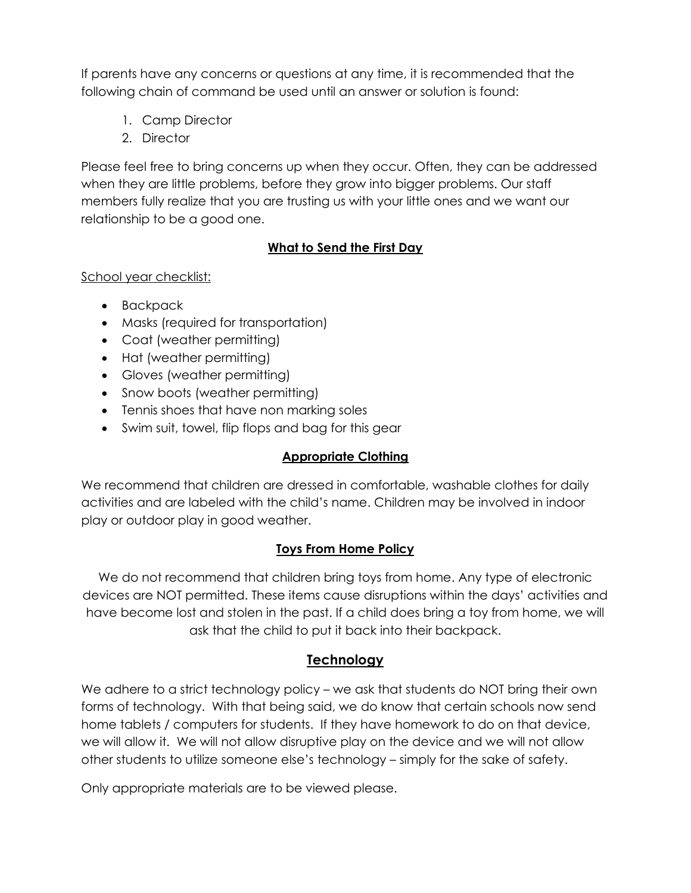If parents have any concerns or questions at any time, it is recommended that the following chain of command be used until an answer or solution is found:

- 1. Camp Director
- 2. Director

Please feel free to bring concerns up when they occur. Often, they can be addressed when they are little problems, before they grow into bigger problems. Our staff members fully realize that you are trusting us with your little ones and we want our relationship to be a good one.

# **What to Send the First Day**

## School year checklist:

- Backpack
- Masks (required for transportation)
- Coat (weather permitting)
- Hat (weather permitting)
- Gloves (weather permitting)
- Snow boots (weather permitting)
- Tennis shoes that have non marking soles
- Swim suit, towel, flip flops and bag for this gear

# **Appropriate Clothing**

We recommend that children are dressed in comfortable, washable clothes for daily activities and are labeled with the child's name. Children may be involved in indoor play or outdoor play in good weather.

# **Toys From Home Policy**

We do not recommend that children bring toys from home. Any type of electronic devices are NOT permitted. These items cause disruptions within the days' activities and have become lost and stolen in the past. If a child does bring a toy from home, we will ask that the child to put it back into their backpack.

# **Technology**

We adhere to a strict technology policy – we ask that students do NOT bring their own forms of technology. With that being said, we do know that certain schools now send home tablets / computers for students. If they have homework to do on that device, we will allow it. We will not allow disruptive play on the device and we will not allow other students to utilize someone else's technology – simply for the sake of safety.

Only appropriate materials are to be viewed please.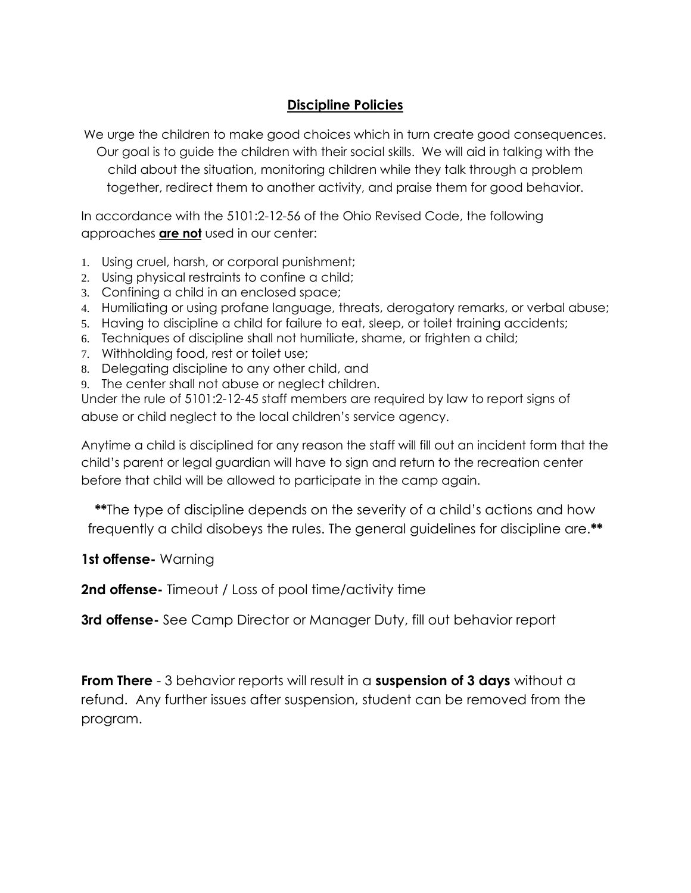# **Discipline Policies**

We urge the children to make good choices which in turn create good consequences. Our goal is to guide the children with their social skills. We will aid in talking with the child about the situation, monitoring children while they talk through a problem together, redirect them to another activity, and praise them for good behavior.

In accordance with the 5101:2-12-56 of the Ohio Revised Code, the following approaches **are not** used in our center:

- 1. Using cruel, harsh, or corporal punishment;
- 2. Using physical restraints to confine a child;
- 3. Confining a child in an enclosed space;
- 4. Humiliating or using profane language, threats, derogatory remarks, or verbal abuse;
- 5. Having to discipline a child for failure to eat, sleep, or toilet training accidents;
- 6. Techniques of discipline shall not humiliate, shame, or frighten a child;
- 7. Withholding food, rest or toilet use;
- 8. Delegating discipline to any other child, and
- 9. The center shall not abuse or neglect children.

Under the rule of 5101:2-12-45 staff members are required by law to report signs of abuse or child neglect to the local children's service agency.

Anytime a child is disciplined for any reason the staff will fill out an incident form that the child's parent or legal guardian will have to sign and return to the recreation center before that child will be allowed to participate in the camp again.

**\*\***The type of discipline depends on the severity of a child's actions and how frequently a child disobeys the rules. The general guidelines for discipline are.**\*\***

**1st offense-** Warning

**2nd offense-** Timeout / Loss of pool time/activity time

**3rd offense-** See Camp Director or Manager Duty, fill out behavior report

**From There** - 3 behavior reports will result in a **suspension of 3 days** without a refund. Any further issues after suspension, student can be removed from the program.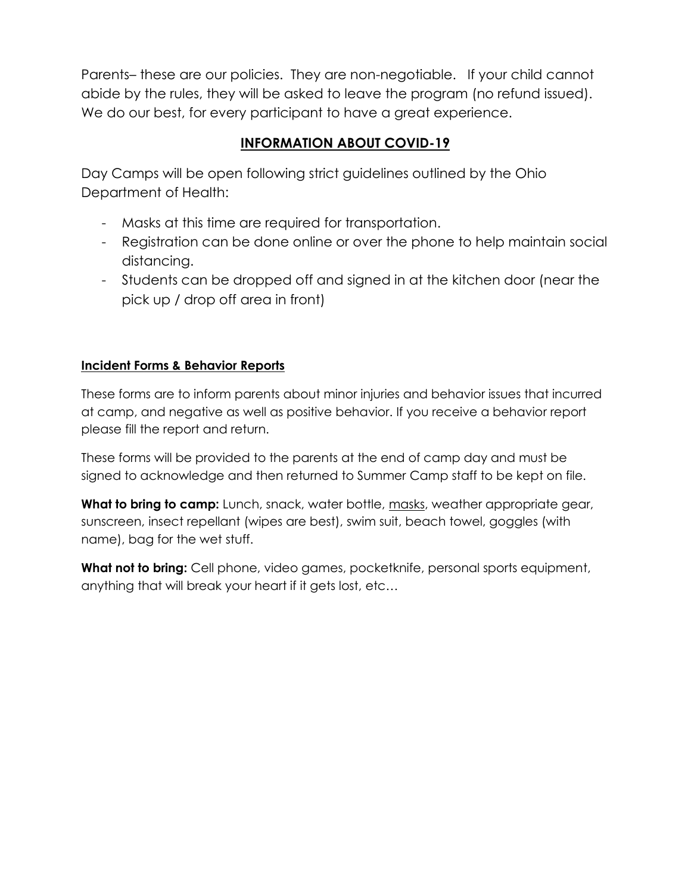Parents– these are our policies. They are non-negotiable. If your child cannot abide by the rules, they will be asked to leave the program (no refund issued). We do our best, for every participant to have a great experience.

# **INFORMATION ABOUT COVID-19**

Day Camps will be open following strict guidelines outlined by the Ohio Department of Health:

- Masks at this time are required for transportation.
- Registration can be done online or over the phone to help maintain social distancing.
- Students can be dropped off and signed in at the kitchen door (near the pick up / drop off area in front)

# **Incident Forms & Behavior Reports**

These forms are to inform parents about minor injuries and behavior issues that incurred at camp, and negative as well as positive behavior. If you receive a behavior report please fill the report and return.

These forms will be provided to the parents at the end of camp day and must be signed to acknowledge and then returned to Summer Camp staff to be kept on file.

**What to bring to camp:** Lunch, snack, water bottle, masks, weather appropriate gear, sunscreen, insect repellant (wipes are best), swim suit, beach towel, goggles (with name), bag for the wet stuff.

**What not to bring:** Cell phone, video games, pocketknife, personal sports equipment, anything that will break your heart if it gets lost, etc…